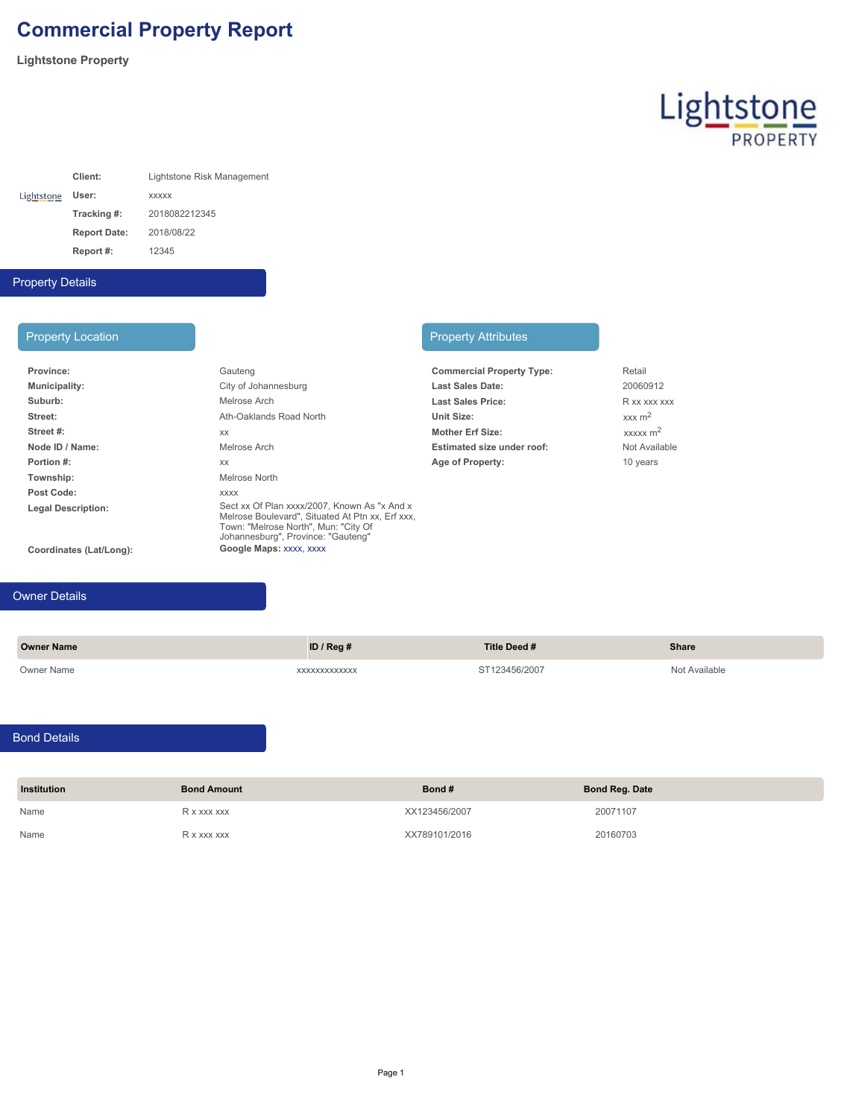## **Commercial Property Report**

**Lightstone Property**

# Lightstone

|            | Client:             | Lightstone Risk Management |
|------------|---------------------|----------------------------|
| Lightstone | User:               | <b>XXXXX</b>               |
|            | Tracking #:         | 2018082212345              |
|            | <b>Report Date:</b> | 2018/08/22                 |
|            | Report #:           | 12345                      |

### Property Details

| Gauteng                                                                                                                                                                        | <b>Commercial Property Type:</b>  | Retail       |
|--------------------------------------------------------------------------------------------------------------------------------------------------------------------------------|-----------------------------------|--------------|
| City of Johannesburg                                                                                                                                                           | <b>Last Sales Date:</b>           | 20060        |
| Melrose Arch                                                                                                                                                                   | <b>Last Sales Price:</b>          | R xx x       |
| Ath-Oaklands Road North                                                                                                                                                        | Unit Size:                        | xxx m        |
| <b>XX</b>                                                                                                                                                                      | <b>Mother Erf Size:</b>           | <b>XXXXX</b> |
| Melrose Arch                                                                                                                                                                   | <b>Estimated size under roof:</b> | Not Ay       |
| XX                                                                                                                                                                             | Age of Property:                  | $10$ yea     |
| Melrose North                                                                                                                                                                  |                                   |              |
| <b>XXXX</b>                                                                                                                                                                    |                                   |              |
| Sect xx Of Plan xxxx/2007. Known As "x And x<br>Melrose Boulevard". Situated At Ptn xx. Erf xxx.<br>Town: "Melrose North", Mun: "City Of<br>Johannesburg", Province: "Gauteng" |                                   |              |
| Google Maps: XXXX, XXXX                                                                                                                                                        |                                   |              |
|                                                                                                                                                                                |                                   |              |

#### Property Location **Property Attributes**

| <b>Commercial Property Type:</b> | Retail                 |
|----------------------------------|------------------------|
| <b>Last Sales Date:</b>          | 20060912               |
| <b>Last Sales Price:</b>         | R xx xxx xxx           |
| Unit Size:                       | $xxx \, m^2$           |
| <b>Mother Erf Size:</b>          | $xxxxx$ m <sup>2</sup> |
| Estimated size under roof:       | Not Available          |
| Age of Property:                 | 10 years               |

#### Owner Details

**Owner Name ID / Reg # Title Deed # Share** Owner Name xxxxxxxxxxxxx ST123456/2007 Not Available

#### Bond Details

| <b>Institution</b> | <b>Bond Amount</b> | Bond#         | <b>Bond Reg. Date</b> |
|--------------------|--------------------|---------------|-----------------------|
| Name               | R x xxx xxx        | XX123456/2007 | 20071107              |
| Name               | R x xxx xxx        | XX789101/2016 | 20160703              |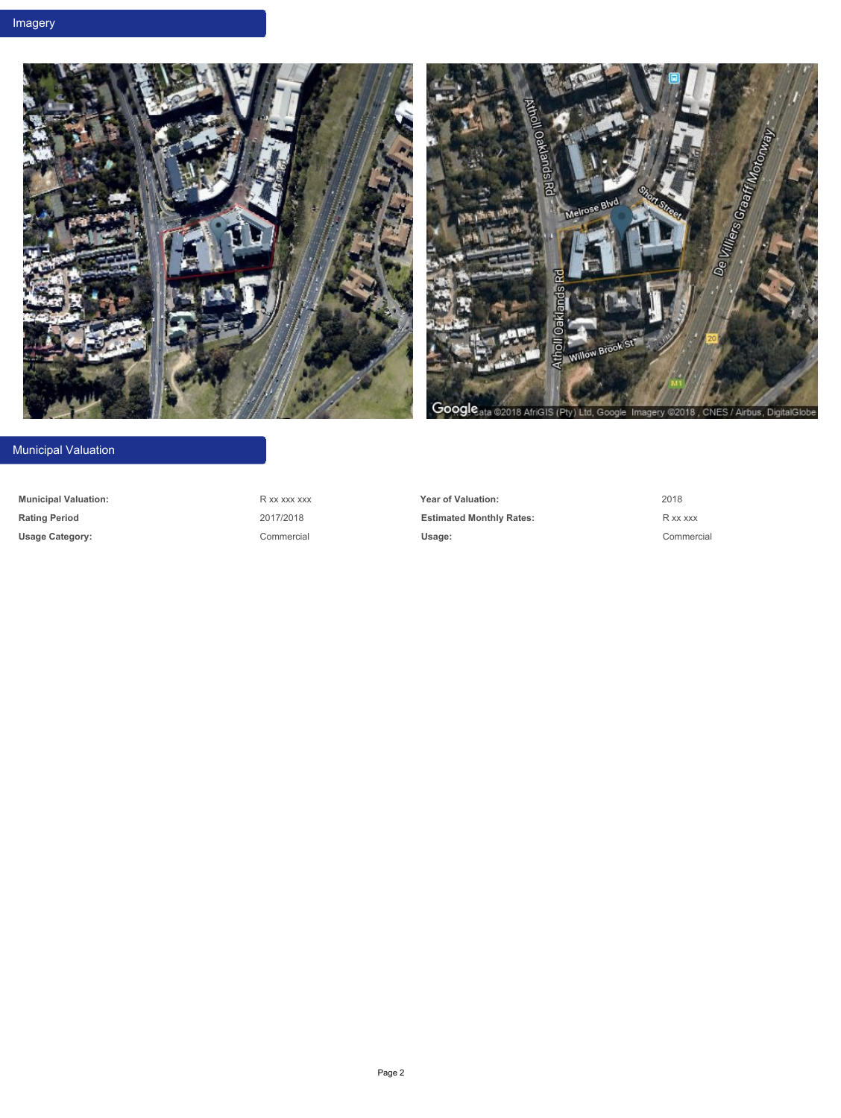



#### Municipal Valuation

**Municipal Valuation:** R xx xxx xxx **Year of Valuation:** 2018 **Rating Period Rational Rational Rational Rational Period R** xx xxx **R** xx xxx **Usage Category:** Commercial **Usage:** Commercial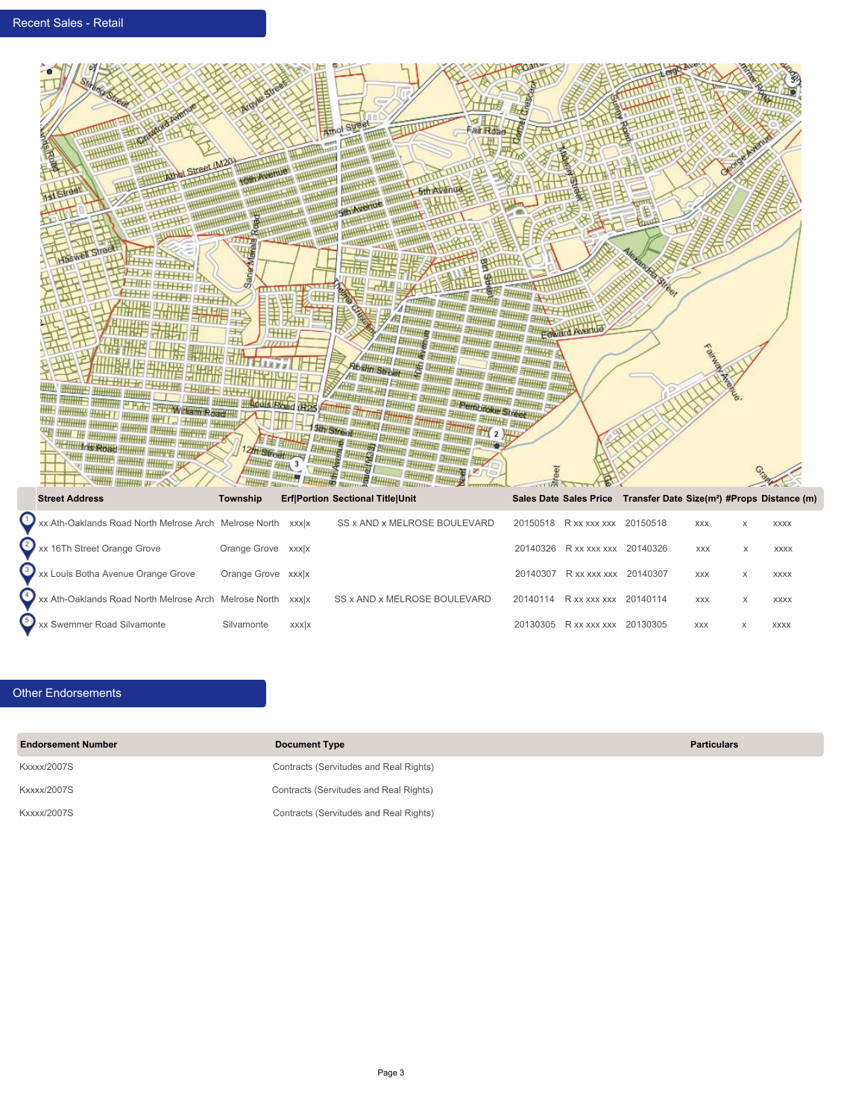

| <b>Sueet Address</b>                                        | <b>TOWISHIP</b>    |              | <b>ENTORION SECUDIAL INTERVINT</b> |                                | Sales Date Sales Frice Transfer Date Size(iii) #Frops Distance (iii) |            |             |
|-------------------------------------------------------------|--------------------|--------------|------------------------------------|--------------------------------|----------------------------------------------------------------------|------------|-------------|
| Xx Ath-Oaklands Road North Melrose Arch Melrose North xxx x |                    |              | SS x AND x MELROSE BOULEVARD       | 20150518 R xx xxx xxx 20150518 |                                                                      | <b>XXX</b> | <b>XXXX</b> |
| 2 xx 16Th Street Orange Grove                               | Orange Grove xxx x |              |                                    | 20140326 R xx xxx xxx 20140326 |                                                                      | <b>XXX</b> | <b>XXXX</b> |
| Xx Louis Botha Avenue Orange Grove                          | Orange Grove xxx x |              |                                    | 20140307 R xx xxx xxx 20140307 |                                                                      | <b>XXX</b> | <b>XXXX</b> |
| Xx Ath-Oaklands Road North Melrose Arch Melrose North xxx x |                    |              | SS x AND x MELROSE BOULEVARD       | 20140114 R xx xxx xxx 20140114 |                                                                      | <b>XXX</b> | <b>XXXX</b> |
| xx Swemmer Road Silvamonte                                  | Silvamonte         | <b>XXXXX</b> |                                    | 20130305 R xx xxx xxx 20130305 |                                                                      | <b>XXX</b> | <b>XXXX</b> |

#### Other Endorsements

| <b>Endorsement Number</b> | <b>Document Type</b>                   | <b>Particulars</b> |
|---------------------------|----------------------------------------|--------------------|
| <b>Kxxxx/2007S</b>        | Contracts (Servitudes and Real Rights) |                    |
| <b>Kxxxx/2007S</b>        | Contracts (Servitudes and Real Rights) |                    |
| <b>Kxxxx/2007S</b>        | Contracts (Servitudes and Real Rights) |                    |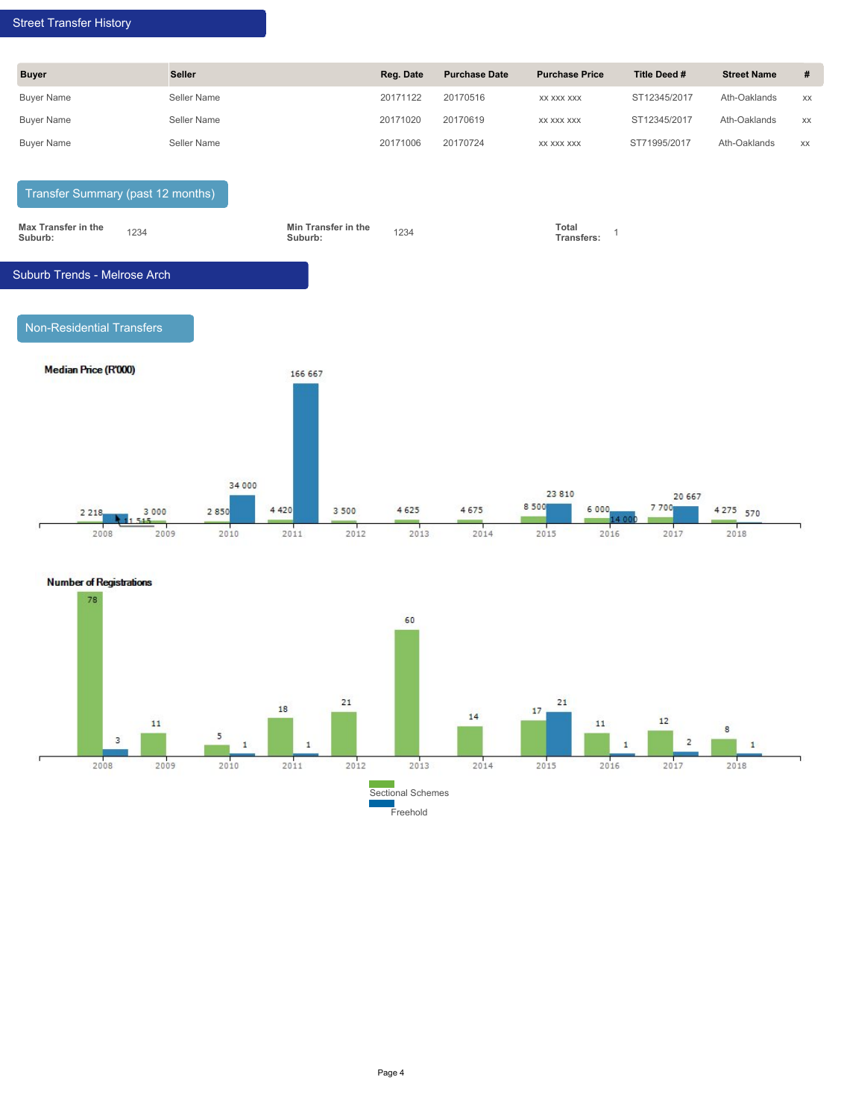#### Street Transfer History

| Street Transfer History |                                   |           |                      |                       |              |                    |      |
|-------------------------|-----------------------------------|-----------|----------------------|-----------------------|--------------|--------------------|------|
| <b>Buyer</b>            | Seller                            | Reg. Date | <b>Purchase Date</b> | <b>Purchase Price</b> | Title Deed # | <b>Street Name</b> | $\#$ |
| <b>Buyer Name</b>       | Seller Name                       | 20171122  | 20170516             | XX XXX XXX            | ST12345/2017 | Ath-Oaklands       | XX   |
| <b>Buyer Name</b>       | Seller Name                       | 20171020  | 20170619             | XX XXX XXX            | ST12345/2017 | Ath-Oaklands       | XX   |
| <b>Buyer Name</b>       | Seller Name                       | 20171006  | 20170724             | XX XXX XXX            | ST71995/2017 | Ath-Oaklands       | XX   |
|                         | Transfer Summary (past 12 months) |           |                      |                       |              |                    |      |



Non-Residential Transfers



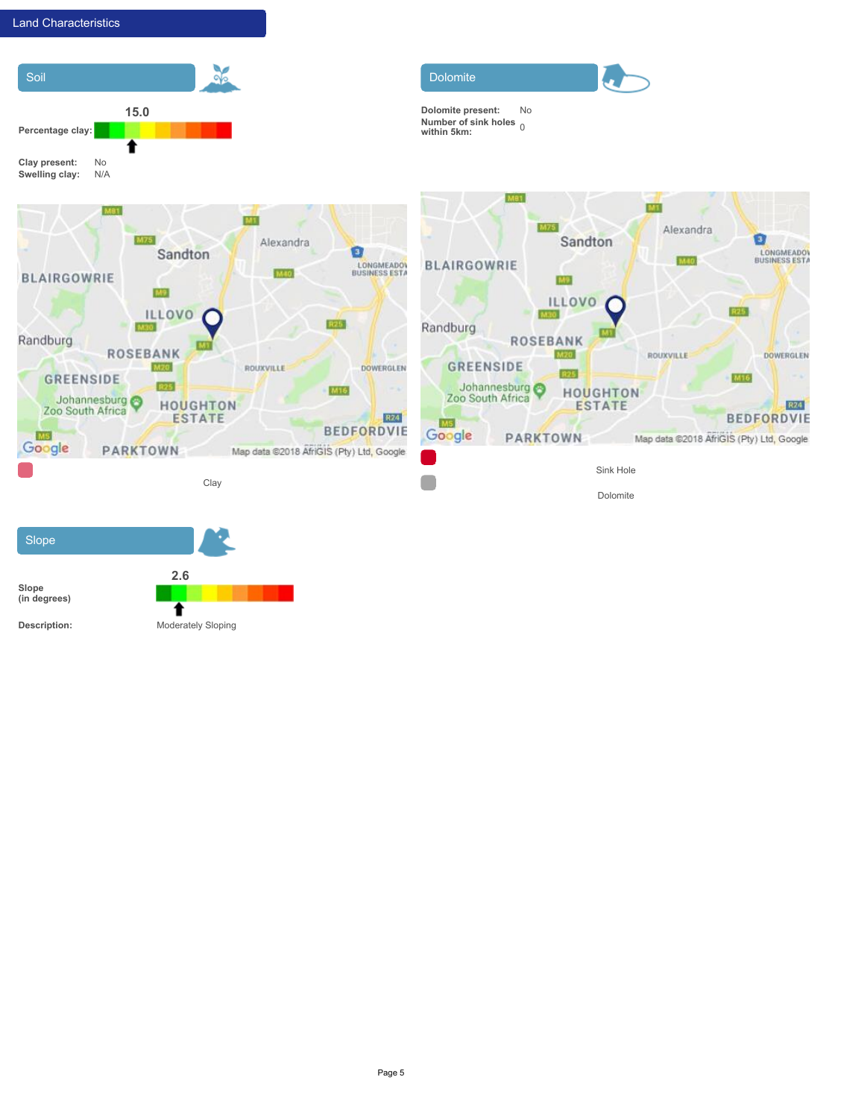